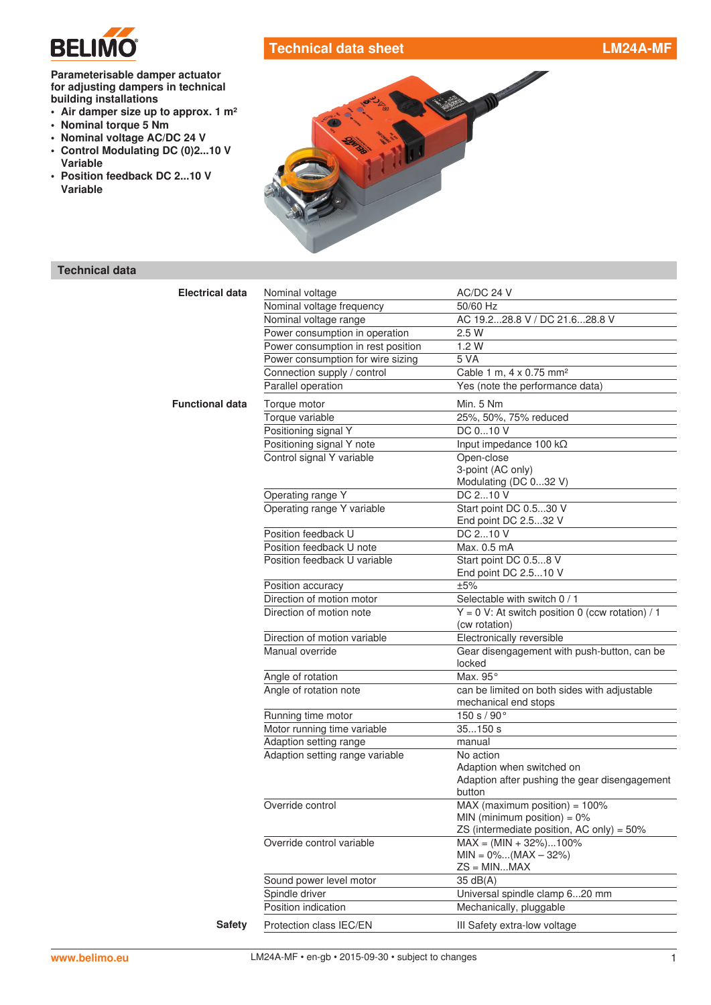

# **Technical data sheet LM24A-MF**

### **Parameterisable damper actuator for adjusting dampers in technical building installations**

- **• Air damper size up to approx. 1 m²**
- **• Nominal torque 5 Nm**
- **• Nominal voltage AC/DC 24 V**
- **• Control Modulating DC (0)2...10 V Variable**
- **• Position feedback DC 2...10 V Variable**



# **Technical data**

| <b>Electrical data</b> | Nominal voltage                    | AC/DC 24 V                                                           |
|------------------------|------------------------------------|----------------------------------------------------------------------|
|                        | Nominal voltage frequency          | 50/60 Hz                                                             |
|                        | Nominal voltage range              | AC 19.228.8 V / DC 21.628.8 V                                        |
|                        | Power consumption in operation     | 2.5 W                                                                |
|                        | Power consumption in rest position | 1.2W                                                                 |
|                        | Power consumption for wire sizing  | 5 VA                                                                 |
|                        | Connection supply / control        | Cable 1 m, 4 x 0.75 mm <sup>2</sup>                                  |
|                        | Parallel operation                 | Yes (note the performance data)                                      |
| <b>Functional data</b> | Torque motor                       | Min. 5 Nm                                                            |
|                        | Torque variable                    | 25%, 50%, 75% reduced                                                |
|                        | Positioning signal Y               | DC 010 V                                                             |
|                        | Positioning signal Y note          | Input impedance 100 kΩ                                               |
|                        | Control signal Y variable          | Open-close                                                           |
|                        |                                    | 3-point (AC only)                                                    |
|                        |                                    | Modulating (DC 032 V)                                                |
|                        | Operating range Y                  | DC 210 V                                                             |
|                        | Operating range Y variable         | Start point DC 0.530 V                                               |
|                        |                                    | End point DC 2.532 V                                                 |
|                        | Position feedback U                | DC 210 V                                                             |
|                        | Position feedback U note           | Max. 0.5 mA                                                          |
|                        | Position feedback U variable       | Start point DC 0.58 V                                                |
|                        |                                    | End point DC 2.510 V                                                 |
|                        | Position accuracy                  | ±5%                                                                  |
|                        | Direction of motion motor          | Selectable with switch 0 / 1                                         |
|                        | Direction of motion note           | $Y = 0$ V: At switch position 0 (ccw rotation) / 1<br>(cw rotation)  |
|                        | Direction of motion variable       | Electronically reversible                                            |
|                        | Manual override                    | Gear disengagement with push-button, can be                          |
|                        |                                    | locked                                                               |
|                        | Angle of rotation                  | Max. 95°                                                             |
|                        | Angle of rotation note             | can be limited on both sides with adjustable<br>mechanical end stops |
|                        | Running time motor                 | 150 s / 90°                                                          |
|                        | Motor running time variable        | 35150s                                                               |
|                        | Adaption setting range             | manual                                                               |
|                        | Adaption setting range variable    | No action                                                            |
|                        |                                    | Adaption when switched on                                            |
|                        |                                    | Adaption after pushing the gear disengagement                        |
|                        |                                    | button                                                               |
|                        | Override control                   | MAX (maximum position) = $100\%$                                     |
|                        |                                    | MIN (minimum position) = $0\%$                                       |
|                        |                                    | ZS (intermediate position, AC only) = 50%                            |
|                        | Override control variable          | $MAX = (MIN + 32\%).100\%$                                           |
|                        |                                    | $MIN = 0\%(MAX - 32\%)$                                              |
|                        |                                    | $ZS = MINMAX$                                                        |
|                        | Sound power level motor            | $35 \text{ dB}(A)$                                                   |
|                        | Spindle driver                     | Universal spindle clamp 620 mm                                       |
|                        | Position indication                | Mechanically, pluggable                                              |
| <b>Safety</b>          | Protection class IEC/EN            | III Safety extra-low voltage                                         |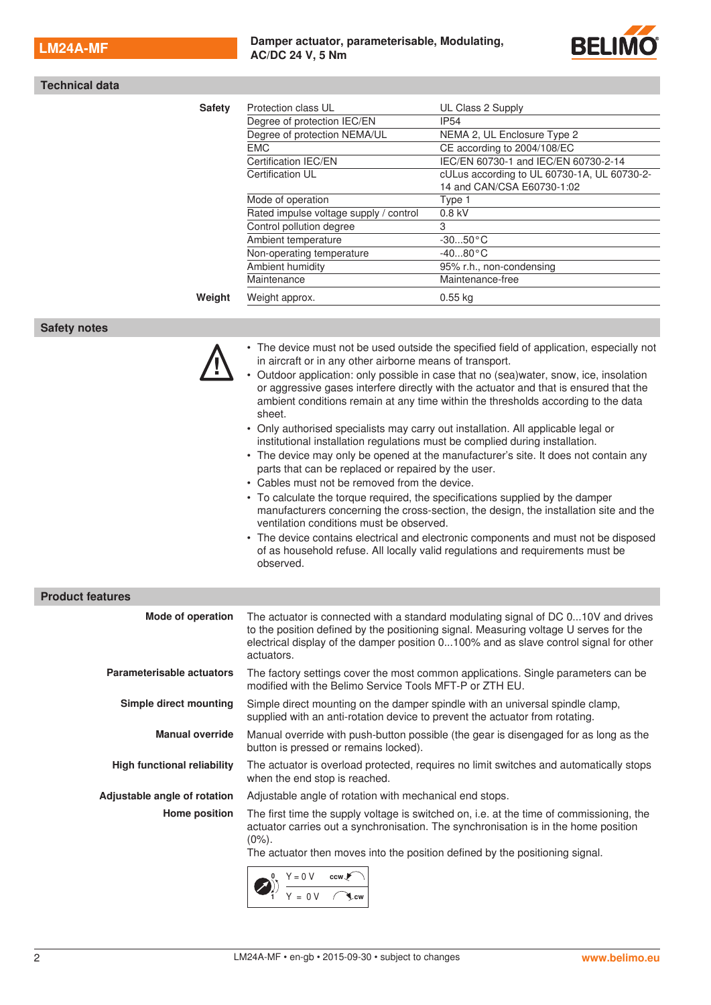

| <b>Technical data</b>                                                                                                                                                     |                                                                                                                                                                                                                                                                                                                                                                                                                                                                                                                                                                                                                                                                                                                                                                                                                                                                                                                                                                                                                                                                                                                                                                                                                        |                                                                                                                                                                                                                                                                     |  |
|---------------------------------------------------------------------------------------------------------------------------------------------------------------------------|------------------------------------------------------------------------------------------------------------------------------------------------------------------------------------------------------------------------------------------------------------------------------------------------------------------------------------------------------------------------------------------------------------------------------------------------------------------------------------------------------------------------------------------------------------------------------------------------------------------------------------------------------------------------------------------------------------------------------------------------------------------------------------------------------------------------------------------------------------------------------------------------------------------------------------------------------------------------------------------------------------------------------------------------------------------------------------------------------------------------------------------------------------------------------------------------------------------------|---------------------------------------------------------------------------------------------------------------------------------------------------------------------------------------------------------------------------------------------------------------------|--|
| <b>Safety</b>                                                                                                                                                             | Protection class UL<br>Degree of protection IEC/EN<br>Degree of protection NEMA/UL<br><b>EMC</b><br>Certification IEC/EN<br>Certification UL<br>Mode of operation<br>Rated impulse voltage supply / control<br>Control pollution degree<br>Ambient temperature                                                                                                                                                                                                                                                                                                                                                                                                                                                                                                                                                                                                                                                                                                                                                                                                                                                                                                                                                         | UL Class 2 Supply<br>IP <sub>54</sub><br>NEMA 2, UL Enclosure Type 2<br>CE according to 2004/108/EC<br>IEC/EN 60730-1 and IEC/EN 60730-2-14<br>cULus according to UL 60730-1A, UL 60730-2-<br>14 and CAN/CSA E60730-1:02<br>Type 1<br>0.8 kV<br>3<br>$-3050$ °C     |  |
|                                                                                                                                                                           | Non-operating temperature<br>Ambient humidity                                                                                                                                                                                                                                                                                                                                                                                                                                                                                                                                                                                                                                                                                                                                                                                                                                                                                                                                                                                                                                                                                                                                                                          | $-4080 °C$<br>95% r.h., non-condensing                                                                                                                                                                                                                              |  |
| Weight                                                                                                                                                                    | Maintenance<br>Weight approx.                                                                                                                                                                                                                                                                                                                                                                                                                                                                                                                                                                                                                                                                                                                                                                                                                                                                                                                                                                                                                                                                                                                                                                                          | Maintenance-free<br>$0.55$ kg                                                                                                                                                                                                                                       |  |
| <b>Safety notes</b>                                                                                                                                                       |                                                                                                                                                                                                                                                                                                                                                                                                                                                                                                                                                                                                                                                                                                                                                                                                                                                                                                                                                                                                                                                                                                                                                                                                                        |                                                                                                                                                                                                                                                                     |  |
|                                                                                                                                                                           | • The device must not be used outside the specified field of application, especially not<br>in aircraft or in any other airborne means of transport.<br>• Outdoor application: only possible in case that no (sea)water, snow, ice, insolation<br>or aggressive gases interfere directly with the actuator and that is ensured that the<br>ambient conditions remain at any time within the thresholds according to the data<br>sheet.<br>• Only authorised specialists may carry out installation. All applicable legal or<br>institutional installation regulations must be complied during installation.<br>• The device may only be opened at the manufacturer's site. It does not contain any<br>parts that can be replaced or repaired by the user.<br>• Cables must not be removed from the device.<br>• To calculate the torque required, the specifications supplied by the damper<br>manufacturers concerning the cross-section, the design, the installation site and the<br>ventilation conditions must be observed.<br>• The device contains electrical and electronic components and must not be disposed<br>of as household refuse. All locally valid regulations and requirements must be<br>observed. |                                                                                                                                                                                                                                                                     |  |
| <b>Product features</b>                                                                                                                                                   |                                                                                                                                                                                                                                                                                                                                                                                                                                                                                                                                                                                                                                                                                                                                                                                                                                                                                                                                                                                                                                                                                                                                                                                                                        |                                                                                                                                                                                                                                                                     |  |
| Mode of operation                                                                                                                                                         | actuators.                                                                                                                                                                                                                                                                                                                                                                                                                                                                                                                                                                                                                                                                                                                                                                                                                                                                                                                                                                                                                                                                                                                                                                                                             | The actuator is connected with a standard modulating signal of DC 010V and drives<br>to the position defined by the positioning signal. Measuring voltage U serves for the<br>electrical display of the damper position 0100% and as slave control signal for other |  |
| Parameterisable actuators<br>The factory settings cover the most common applications. Single parameters can be<br>modified with the Belimo Service Tools MFT-P or ZTH EU. |                                                                                                                                                                                                                                                                                                                                                                                                                                                                                                                                                                                                                                                                                                                                                                                                                                                                                                                                                                                                                                                                                                                                                                                                                        |                                                                                                                                                                                                                                                                     |  |
| Simple direct mounting                                                                                                                                                    | supplied with an anti-rotation device to prevent the actuator from rotating.                                                                                                                                                                                                                                                                                                                                                                                                                                                                                                                                                                                                                                                                                                                                                                                                                                                                                                                                                                                                                                                                                                                                           | Simple direct mounting on the damper spindle with an universal spindle clamp,                                                                                                                                                                                       |  |
| <b>Manual override</b><br>button is pressed or remains locked).                                                                                                           |                                                                                                                                                                                                                                                                                                                                                                                                                                                                                                                                                                                                                                                                                                                                                                                                                                                                                                                                                                                                                                                                                                                                                                                                                        | Manual override with push-button possible (the gear is disengaged for as long as the                                                                                                                                                                                |  |
| <b>High functional reliability</b>                                                                                                                                        | The actuator is overload protected, requires no limit switches and automatically stops<br>when the end stop is reached.                                                                                                                                                                                                                                                                                                                                                                                                                                                                                                                                                                                                                                                                                                                                                                                                                                                                                                                                                                                                                                                                                                |                                                                                                                                                                                                                                                                     |  |
| Adjustable angle of rotation                                                                                                                                              | Adjustable angle of rotation with mechanical end stops.                                                                                                                                                                                                                                                                                                                                                                                                                                                                                                                                                                                                                                                                                                                                                                                                                                                                                                                                                                                                                                                                                                                                                                |                                                                                                                                                                                                                                                                     |  |
| Home position                                                                                                                                                             | The first time the supply voltage is switched on, i.e. at the time of commissioning, the<br>actuator carries out a synchronisation. The synchronisation is in the home position<br>$(0\%)$ .<br>The actuator then moves into the position defined by the positioning signal.<br>$\frac{Y = 0 \text{ V}}{Y = 0 \text{ V}}$                                                                                                                                                                                                                                                                                                                                                                                                                                                                                                                                                                                                                                                                                                                                                                                                                                                                                              |                                                                                                                                                                                                                                                                     |  |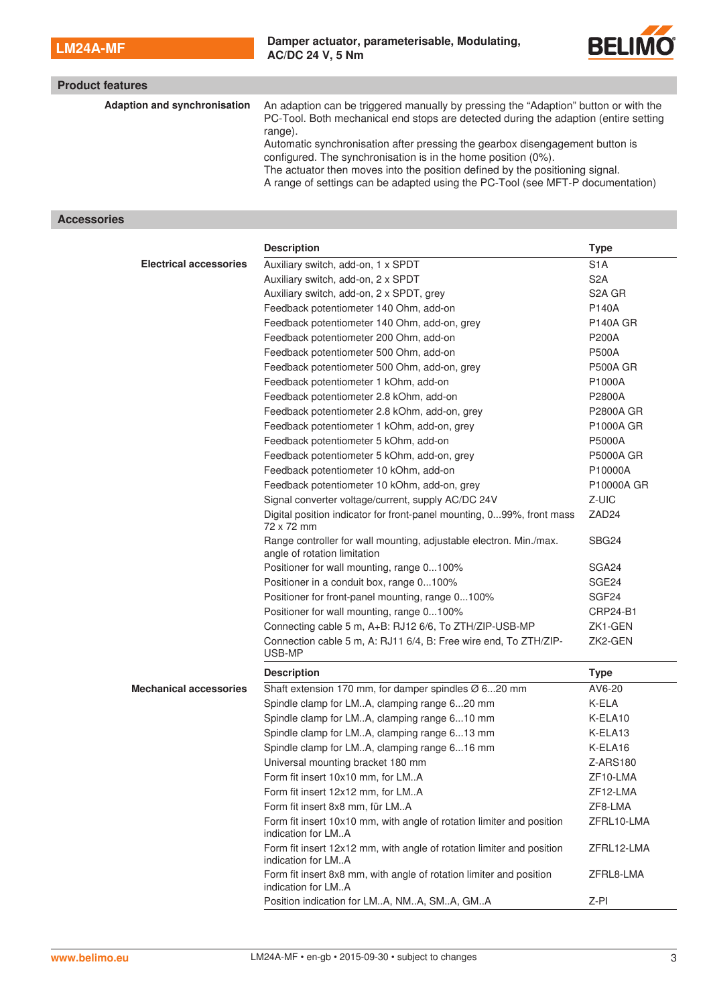

| <b>Product features</b>             |                                                                                                                                                                                                                                                                                                                 |
|-------------------------------------|-----------------------------------------------------------------------------------------------------------------------------------------------------------------------------------------------------------------------------------------------------------------------------------------------------------------|
| <b>Adaption and synchronisation</b> | An adaption can be triggered manually by pressing the "Adaption" button or with the<br>PC-Tool. Both mechanical end stops are detected during the adaption (entire setting<br>range).                                                                                                                           |
|                                     | Automatic synchronisation after pressing the gearbox disengagement button is<br>configured. The synchronisation is in the home position (0%).<br>The actuator then moves into the position defined by the positioning signal.<br>A range of settings can be adapted using the PC-Tool (see MFT-P documentation) |

## **Accessories**

|                               | <b>Description</b>                                                                                 | <b>Type</b>       |
|-------------------------------|----------------------------------------------------------------------------------------------------|-------------------|
| <b>Electrical accessories</b> | Auxiliary switch, add-on, 1 x SPDT                                                                 | S <sub>1</sub> A  |
|                               | Auxiliary switch, add-on, 2 x SPDT                                                                 | S <sub>2</sub> A  |
|                               | Auxiliary switch, add-on, 2 x SPDT, grey                                                           | S2A GR            |
|                               | Feedback potentiometer 140 Ohm, add-on                                                             | P140A             |
|                               | Feedback potentiometer 140 Ohm, add-on, grey                                                       | <b>P140A GR</b>   |
|                               | Feedback potentiometer 200 Ohm, add-on                                                             | P200A             |
|                               | Feedback potentiometer 500 Ohm, add-on                                                             | <b>P500A</b>      |
|                               | Feedback potentiometer 500 Ohm, add-on, grey                                                       | <b>P500A GR</b>   |
|                               | Feedback potentiometer 1 kOhm, add-on                                                              | P1000A            |
|                               | Feedback potentiometer 2.8 kOhm, add-on                                                            | P2800A            |
|                               | Feedback potentiometer 2.8 kOhm, add-on, grey                                                      | P2800A GR         |
|                               | Feedback potentiometer 1 kOhm, add-on, grey                                                        | P1000A GR         |
|                               | Feedback potentiometer 5 kOhm, add-on                                                              | P5000A            |
|                               | Feedback potentiometer 5 kOhm, add-on, grey                                                        | <b>P5000A GR</b>  |
|                               | Feedback potentiometer 10 kOhm, add-on                                                             | P10000A           |
|                               | Feedback potentiometer 10 kOhm, add-on, grey                                                       | P10000A GR        |
|                               | Signal converter voltage/current, supply AC/DC 24V                                                 | Z-UIC             |
|                               | Digital position indicator for front-panel mounting, 099%, front mass<br>72 x 72 mm                | ZAD <sub>24</sub> |
|                               | Range controller for wall mounting, adjustable electron. Min./max.<br>angle of rotation limitation | SBG <sub>24</sub> |
|                               | Positioner for wall mounting, range 0100%                                                          | SGA24             |
|                               | Positioner in a conduit box, range 0100%                                                           | SGE24             |
|                               | Positioner for front-panel mounting, range 0100%                                                   | SGF <sub>24</sub> |
|                               | Positioner for wall mounting, range 0100%                                                          | CRP24-B1          |
|                               | Connecting cable 5 m, A+B: RJ12 6/6, To ZTH/ZIP-USB-MP                                             | ZK1-GEN           |
|                               | Connection cable 5 m, A: RJ11 6/4, B: Free wire end, To ZTH/ZIP-<br>USB-MP                         | ZK2-GEN           |
|                               | <b>Description</b>                                                                                 | <b>Type</b>       |
| <b>Mechanical accessories</b> | Shaft extension 170 mm, for damper spindles Ø 620 mm                                               | AV6-20            |
|                               | Spindle clamp for LMA, clamping range 620 mm                                                       | K-ELA             |
|                               | Spindle clamp for LMA, clamping range 610 mm                                                       | K-ELA10           |
|                               | Spindle clamp for LMA, clamping range 613 mm                                                       | K-ELA13           |
|                               | Spindle clamp for LMA, clamping range 616 mm                                                       | K-ELA16           |
|                               | Universal mounting bracket 180 mm                                                                  | Z-ARS180          |
|                               | Form fit insert 10x10 mm, for LMA                                                                  | ZF10-LMA          |
|                               | Form fit insert 12x12 mm, for LMA                                                                  | ZF12-LMA          |
|                               | Form fit insert 8x8 mm, für LMA                                                                    | ZF8-LMA           |
|                               | Form fit insert 10x10 mm, with angle of rotation limiter and position<br>indication for LMA        | ZFRL10-LMA        |
|                               | Form fit insert 12x12 mm, with angle of rotation limiter and position<br>indication for LMA        | ZFRL12-LMA        |
|                               | Form fit insert 8x8 mm, with angle of rotation limiter and position<br>indication for LMA          | ZFRL8-LMA         |
|                               | Position indication for LMA, NMA, SMA, GMA                                                         | Z-PI              |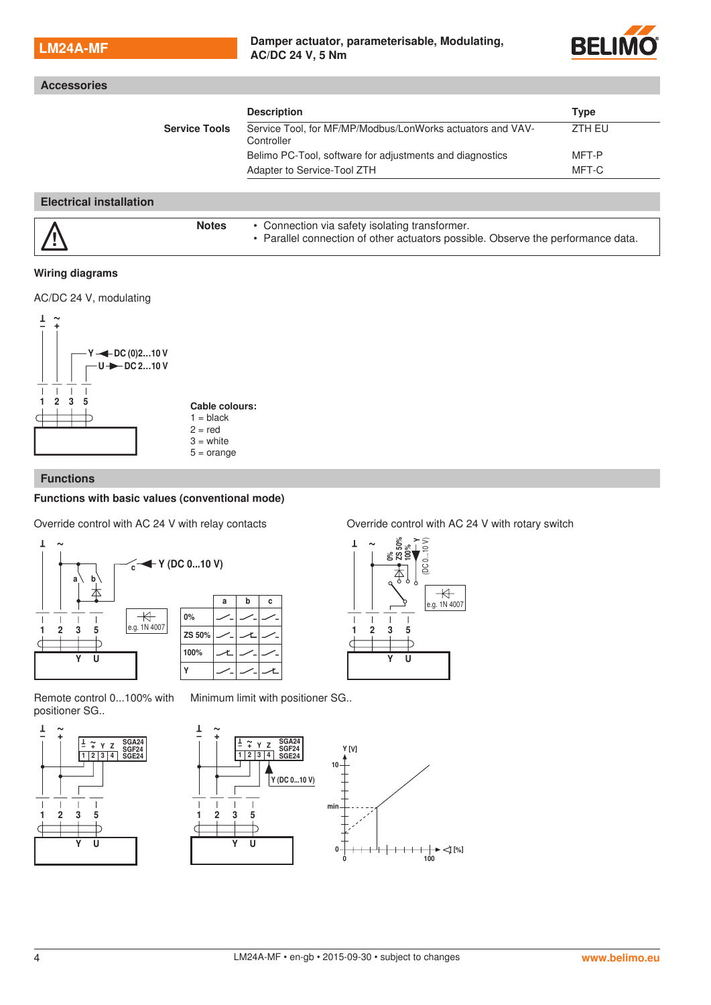### **LM24A-MF Damper actuator, parameterisable, Modulating, Damper actuator, parameterisable, Modulating, AC/DC 24 V, 5 Nm**



|                      | <b>Description</b>                                                       | Type   |
|----------------------|--------------------------------------------------------------------------|--------|
| <b>Service Tools</b> | Service Tool, for MF/MP/Modbus/LonWorks actuators and VAV-<br>Controller | ZTH EU |
|                      | Belimo PC-Tool, software for adjustments and diagnostics                 | MFT-P  |
|                      | Adapter to Service-Tool ZTH                                              | MFT-C  |

### **Wiring diagrams**

AC/DC 24 V, modulating



## **Functions**

### **Functions with basic values (conventional mode)**

Override control with AC 24 V with relay contacts Override control with AC 24 V with rotary switch





Remote control 0...100% with positioner SG..

Minimum limit with positioner SG..



T ~ – + Y Z 1234 – + T ~ SGA24 SGF24 SGE24 Y [V]  $10 -$ Y (DC 0...10 V)  $\overline{1}$  $\overline{\phantom{a}}$  $\overline{1}$ min 1235  $\overline{C}$ ħ  $\overline{\mathtt{U}}$ 0 100 0 [%]

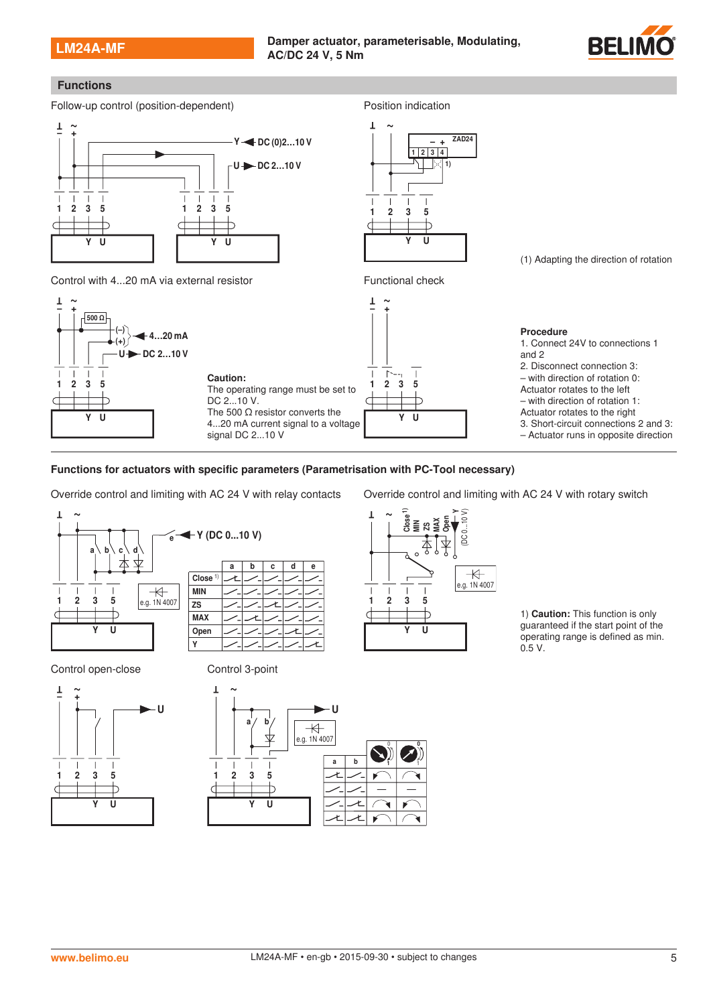### **LM24A-MF Damper actuator, parameterisable, Modulating, Damper actuator, parameterisable, Modulating, AC/DC 24 V, 5 Nm**

123 5

 $\overline{\phantom{a}}$  $\overline{1}$ 

 $\overline{\mathtt{U}}$ 

1234  $+$ 

 $\blacksquare$ 

 $\overline{1}$ 

1)

ZAD24



## **Functions**



Control with 4...20 mA via external resistor Functional check



**Functions for actuators with specific parameters (Parametrisation with PC-Tool necessary)**







Override control and limiting with AC 24 V with relay contacts Override control and limiting with AC 24 V with rotary switch



1) **Caution:** This function is only guaranteed if the start point of the operating range is defined as min. 0.5 V.

(1) Adapting the direction of rotation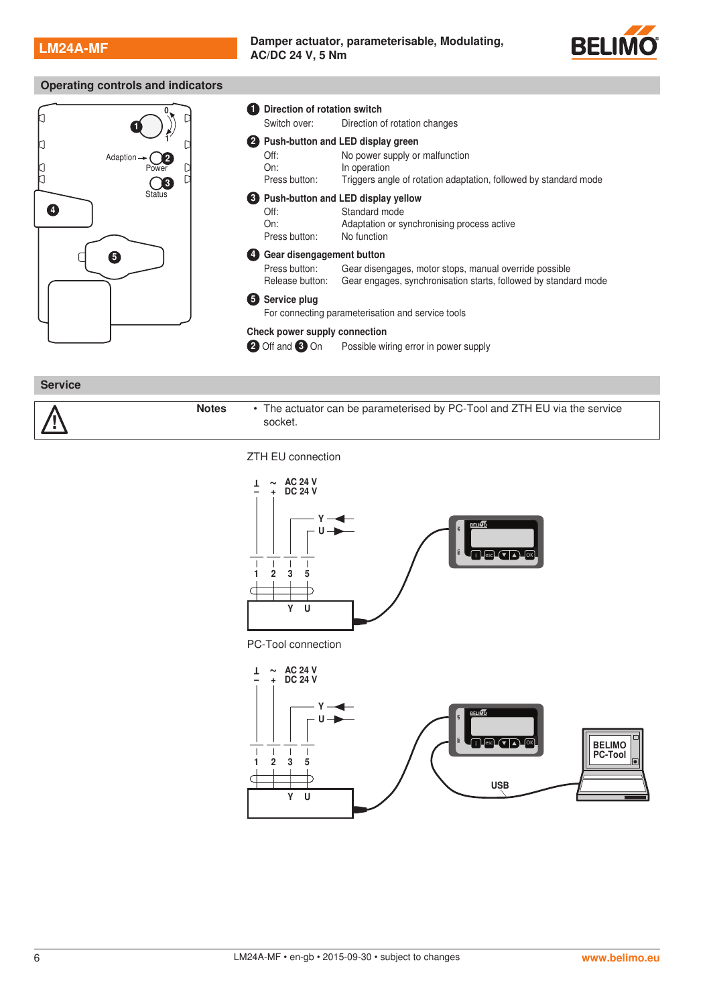!<br>!

**LM24A-MF Damper actuator, parameterisable, Modulating, Damper actuator, parameterisable, Modulating, AC/DC 24 V, 5 Nm**



## **Operating controls and indicators**



**Service Notes** • The actuator can be parameterised by PC-Tool and ZTH EU via the service

ZTH EU connection

socket.